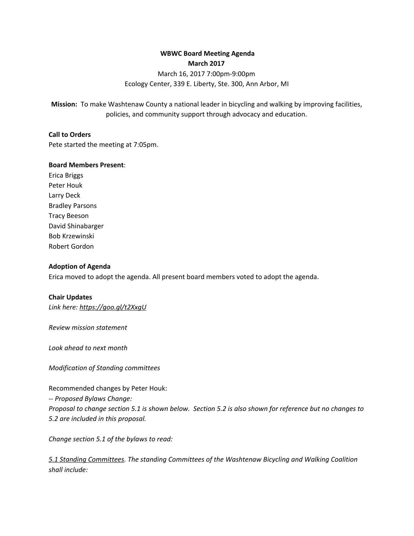# **WBWC Board Meeting Agenda March 2017**

# March 16, 2017 7:00pm-9:00pm Ecology Center, 339 E. Liberty, Ste. 300, Ann Arbor, MI

**Mission:** To make Washtenaw County a national leader in bicycling and walking by improving facilities, policies, and community support through advocacy and education.

#### **Call to Orders**

Pete started the meeting at 7:05pm.

#### **Board Members Present**:

Erica Briggs Peter Houk Larry Deck Bradley Parsons Tracy Beeson David Shinabarger Bob Krzewinski Robert Gordon

#### **Adoption of Agenda**

Erica moved to adopt the agenda. All present board members voted to adopt the agenda.

#### **Chair Updates**

*Link here: <https://goo.gl/t2XxgU>*

*Review mission statement*

*Look ahead to next month*

*Modification of Standing committees*

Recommended changes by Peter Houk: -- *Proposed Bylaws Change:* Proposal to change section 5.1 is shown below. Section 5.2 is also shown for reference but no changes to *5.2 are included in this proposal.*

*Change section 5.1 of the bylaws to read:*

*5.1 Standing Committees. The standing Committees of the Washtenaw Bicycling and Walking Coalition shall include:*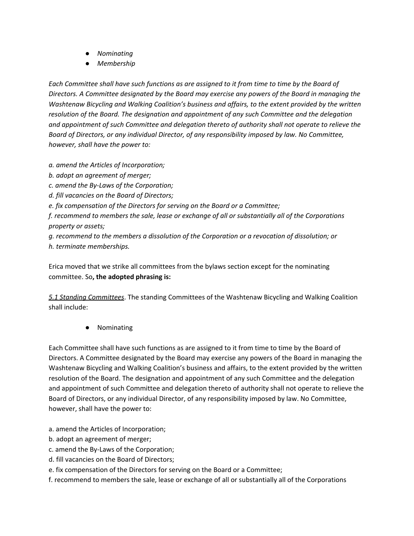- *● Nominating*
- *● Membership*

Each Committee shall have such functions as are assigned to it from time to time by the Board of *Directors. A Committee designated by the Board may exercise any powers of the Board in managing the Washtenaw Bicycling and Walking Coalition's business and affairs, to the extent provided by the written resolution of the Board. The designation and appointment of any such Committee and the delegation and appointment of such Committee and delegation thereto of authority shall not operate to relieve the Board of Directors, or any individual Director, of any responsibility imposed by law. No Committee, however, shall have the power to:*

*a. amend the Articles of Incorporation;*

- *b. adopt an agreement of merger;*
- *c. amend the By-Laws of the Corporation;*
- *d. fill vacancies on the Board of Directors;*

*e. fix compensation of the Directors for serving on the Board or a Committee;*

*f. recommend to members the sale, lease or exchange of all or substantially all of the Corporations property or assets;*

*g. recommend to the members a dissolution of the Corporation or a revocation of dissolution; or h. terminate memberships.*

Erica moved that we strike all committees from the bylaws section except for the nominating committee. So**, the adopted phrasing is:**

*5.1 Standing Committees*. The standing Committees of the Washtenaw Bicycling and Walking Coalition shall include:

● Nominating

Each Committee shall have such functions as are assigned to it from time to time by the Board of Directors. A Committee designated by the Board may exercise any powers of the Board in managing the Washtenaw Bicycling and Walking Coalition's business and affairs, to the extent provided by the written resolution of the Board. The designation and appointment of any such Committee and the delegation and appointment of such Committee and delegation thereto of authority shall not operate to relieve the Board of Directors, or any individual Director, of any responsibility imposed by law. No Committee, however, shall have the power to:

- a. amend the Articles of Incorporation;
- b. adopt an agreement of merger;
- c. amend the By-Laws of the Corporation;
- d. fill vacancies on the Board of Directors;
- e. fix compensation of the Directors for serving on the Board or a Committee;
- f. recommend to members the sale, lease or exchange of all or substantially all of the Corporations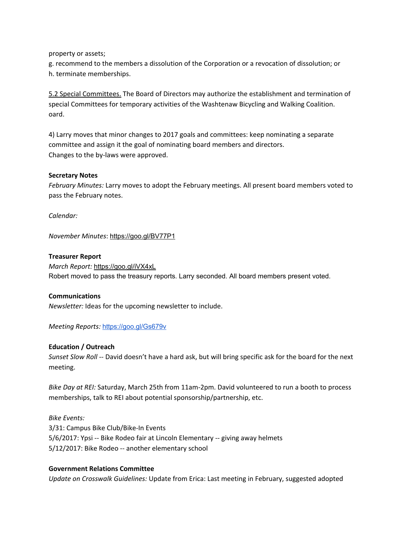property or assets;

g. recommend to the members a dissolution of the Corporation or a revocation of dissolution; or h. terminate memberships.

5.2 Special Committees. The Board of Directors may authorize the establishment and termination of special Committees for temporary activities of the Washtenaw Bicycling and Walking Coalition. oard.

4) Larry moves that minor changes to 2017 goals and committees: keep nominating a separate committee and assign it the goal of nominating board members and directors. Changes to the by-laws were approved.

#### **Secretary Notes**

*February Minutes:* Larry moves to adopt the February meetings. All present board members voted to pass the February notes.

*Calendar:*

*November Minutes*: <https://goo.gl/BV77P1>

#### **Treasurer Report**

*March Report:* <https://goo.gl/iVX4xL> Robert moved to pass the treasury reports. Larry seconded. All board members present voted.

#### **Communications**

*Newsletter:* Ideas for the upcoming newsletter to include.

*Meeting Reports:* <https://goo.gl/Gs679v>

#### **Education / Outreach**

*Sunset Slow Roll --* David doesn't have a hard ask, but will bring specific ask for the board for the next meeting.

*Bike Day at REI:* Saturday, March 25th from 11am-2pm. David volunteered to run a booth to process memberships, talk to REI about potential sponsorship/partnership, etc.

*Bike Events:* 3/31: Campus Bike Club/Bike-In Events 5/6/2017: Ypsi -- Bike Rodeo fair at Lincoln Elementary -- giving away helmets 5/12/2017: Bike Rodeo -- another elementary school

#### **Government Relations Committee**

*Update on Crosswalk Guidelines:* Update from Erica: Last meeting in February, suggested adopted